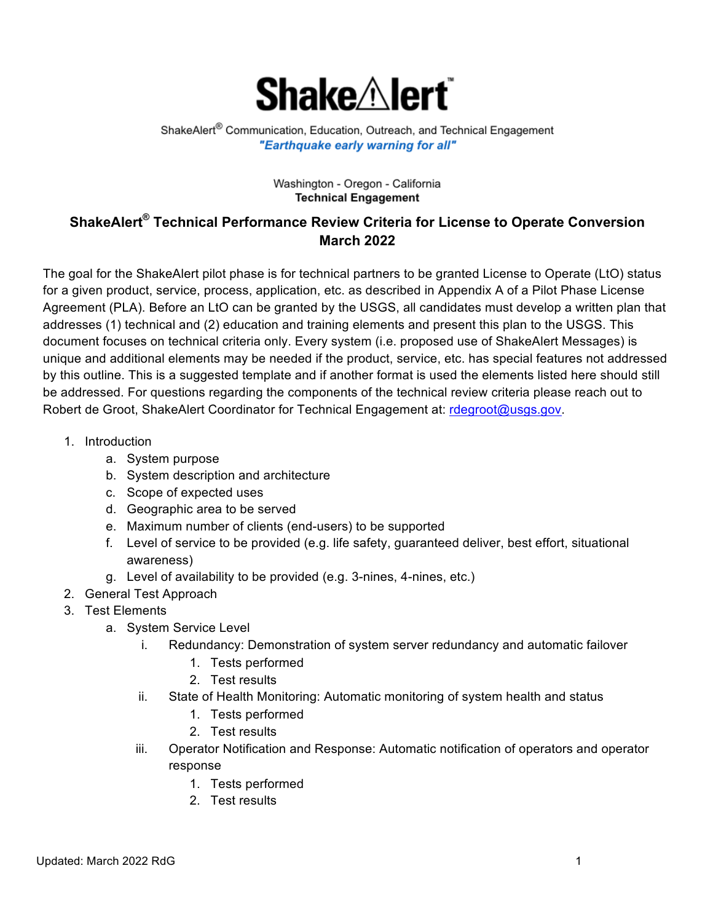

ShakeAlert® Communication, Education, Outreach, and Technical Engagement "Earthquake early warning for all"

## Washington - Oregon - California **Technical Engagement**

## **ShakeAlert® Technical Performance Review Criteria for License to Operate Conversion March 2022**

The goal for the ShakeAlert pilot phase is for technical partners to be granted License to Operate (LtO) status for a given product, service, process, application, etc. as described in Appendix A of a Pilot Phase License Agreement (PLA). Before an LtO can be granted by the USGS, all candidates must develop a written plan that addresses (1) technical and (2) education and training elements and present this plan to the USGS. This document focuses on technical criteria only. Every system (i.e. proposed use of ShakeAlert Messages) is unique and additional elements may be needed if the product, service, etc. has special features not addressed by this outline. This is a suggested template and if another format is used the elements listed here should still be addressed. For questions regarding the components of the technical review criteria please reach out to Robert de Groot, ShakeAlert Coordinator for Technical Engagement at: rdegroot@usgs.gov.

- 1. Introduction
	- a. System purpose
	- b. System description and architecture
	- c. Scope of expected uses
	- d. Geographic area to be served
	- e. Maximum number of clients (end-users) to be supported
	- f. Level of service to be provided (e.g. life safety, guaranteed deliver, best effort, situational awareness)
	- g. Level of availability to be provided (e.g. 3-nines, 4-nines, etc.)
- 2. General Test Approach
- 3. Test Elements
	- a. System Service Level
		- i. Redundancy: Demonstration of system server redundancy and automatic failover
			- 1. Tests performed
			- 2. Test results
		- ii. State of Health Monitoring: Automatic monitoring of system health and status
			- 1. Tests performed
			- 2. Test results
		- iii. Operator Notification and Response: Automatic notification of operators and operator response
			- 1. Tests performed
			- 2. Test results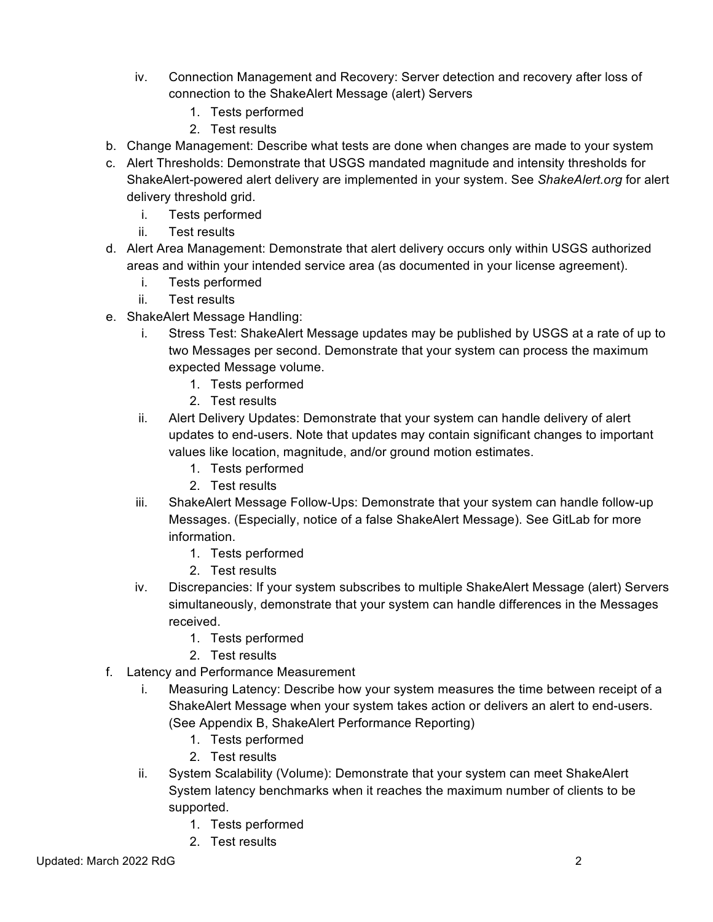- iv. Connection Management and Recovery: Server detection and recovery after loss of connection to the ShakeAlert Message (alert) Servers
	- 1. Tests performed
	- 2. Test results
- b. Change Management: Describe what tests are done when changes are made to your system
- c. Alert Thresholds: Demonstrate that USGS mandated magnitude and intensity thresholds for ShakeAlert-powered alert delivery are implemented in your system. See *ShakeAlert.org* for alert delivery threshold grid.
	- i. Tests performed
	- ii. Test results
- d. Alert Area Management: Demonstrate that alert delivery occurs only within USGS authorized areas and within your intended service area (as documented in your license agreement).
	- i. Tests performed
	- ii. Test results
- e. ShakeAlert Message Handling:
	- i. Stress Test: ShakeAlert Message updates may be published by USGS at a rate of up to two Messages per second. Demonstrate that your system can process the maximum expected Message volume.
		- 1. Tests performed
		- 2. Test results
	- ii. Alert Delivery Updates: Demonstrate that your system can handle delivery of alert updates to end-users. Note that updates may contain significant changes to important values like location, magnitude, and/or ground motion estimates.
		- 1. Tests performed
		- 2. Test results
	- iii. ShakeAlert Message Follow-Ups: Demonstrate that your system can handle follow-up Messages. (Especially, notice of a false ShakeAlert Message). See GitLab for more information.
		- 1. Tests performed
		- 2. Test results
	- iv. Discrepancies: If your system subscribes to multiple ShakeAlert Message (alert) Servers simultaneously, demonstrate that your system can handle differences in the Messages received.
		- 1. Tests performed
		- 2. Test results
- f. Latency and Performance Measurement
	- i. Measuring Latency: Describe how your system measures the time between receipt of a ShakeAlert Message when your system takes action or delivers an alert to end-users. (See Appendix B, ShakeAlert Performance Reporting)
		- 1. Tests performed
		- 2. Test results
	- ii. System Scalability (Volume): Demonstrate that your system can meet ShakeAlert System latency benchmarks when it reaches the maximum number of clients to be supported.
		- 1. Tests performed
		- 2. Test results